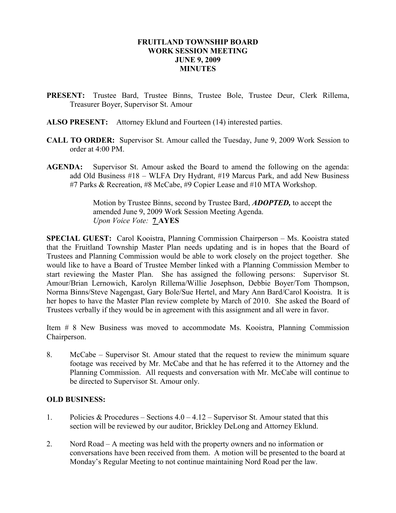#### FRUITLAND TOWNSHIP BOARD WORK SESSION MEETING JUNE 9, 2009 **MINUTES**

- PRESENT: Trustee Bard, Trustee Binns, Trustee Bole, Trustee Deur, Clerk Rillema, Treasurer Boyer, Supervisor St. Amour
- ALSO PRESENT: Attorney Eklund and Fourteen (14) interested parties.
- CALL TO ORDER: Supervisor St. Amour called the Tuesday, June 9, 2009 Work Session to order at  $4.00 \text{ PM}$ .
- AGENDA: Supervisor St. Amour asked the Board to amend the following on the agenda: add Old Business #18 – WLFA Dry Hydrant, #19 Marcus Park, and add New Business #7 Parks & Recreation, #8 McCabe, #9 Copier Lease and #10 MTA Workshop.

 Motion by Trustee Binns, second by Trustee Bard, ADOPTED, to accept the amended June 9, 2009 Work Session Meeting Agenda. Upon Voice Vote: 7 AYES

SPECIAL GUEST: Carol Kooistra, Planning Commission Chairperson – Ms. Kooistra stated that the Fruitland Township Master Plan needs updating and is in hopes that the Board of Trustees and Planning Commission would be able to work closely on the project together. She would like to have a Board of Trustee Member linked with a Planning Commission Member to start reviewing the Master Plan. She has assigned the following persons: Supervisor St. Amour/Brian Lernowich, Karolyn Rillema/Willie Josephson, Debbie Boyer/Tom Thompson, Norma Binns/Steve Nagengast, Gary Bole/Sue Hertel, and Mary Ann Bard/Carol Kooistra. It is her hopes to have the Master Plan review complete by March of 2010. She asked the Board of Trustees verbally if they would be in agreement with this assignment and all were in favor.

Item # 8 New Business was moved to accommodate Ms. Kooistra, Planning Commission Chairperson.

8. McCabe – Supervisor St. Amour stated that the request to review the minimum square footage was received by Mr. McCabe and that he has referred it to the Attorney and the Planning Commission. All requests and conversation with Mr. McCabe will continue to be directed to Supervisor St. Amour only.

#### OLD BUSINESS:

- 1. Policies & Procedures Sections  $4.0 4.12$  Supervisor St. Amour stated that this section will be reviewed by our auditor, Brickley DeLong and Attorney Eklund.
- 2. Nord Road A meeting was held with the property owners and no information or conversations have been received from them. A motion will be presented to the board at Monday's Regular Meeting to not continue maintaining Nord Road per the law.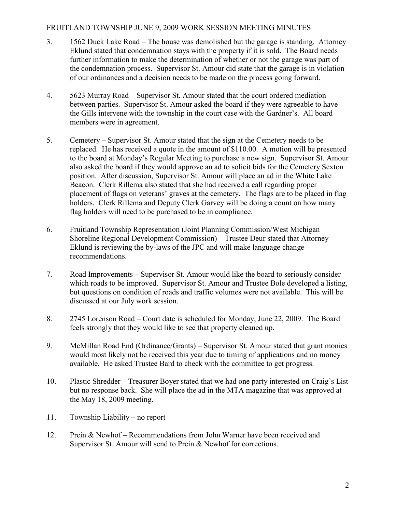## FRUITLAND TOWNSHIP JUNE 9, 2009 WORK SESSION MEETING MINUTES

- 3. 1562 Duck Lake Road The house was demolished but the garage is standing. Attorney Eklund stated that condemnation stays with the property if it is sold. The Board needs further information to make the determination of whether or not the garage was part of the condemnation process. Supervisor St. Amour did state that the garage is in violation of our ordinances and a decision needs to be made on the process going forward.
- 4. 5623 Murray Road Supervisor St. Amour stated that the court ordered mediation between parties. Supervisor St. Amour asked the board if they were agreeable to have the Gills intervene with the township in the court case with the Gardner's. All board members were in agreement.
- 5. Cemetery Supervisor St. Amour stated that the sign at the Cemetery needs to be replaced. He has received a quote in the amount of \$110.00. A motion will be presented to the board at Monday's Regular Meeting to purchase a new sign. Supervisor St. Amour also asked the board if they would approve an ad to solicit bids for the Cemetery Sexton position. After discussion, Supervisor St. Amour will place an ad in the White Lake Beacon. Clerk Rillema also stated that she had received a call regarding proper placement of flags on veterans' graves at the cemetery. The flags are to be placed in flag holders. Clerk Rillema and Deputy Clerk Garvey will be doing a count on how many flag holders will need to be purchased to be in compliance.
- 6. Fruitland Township Representation (Joint Planning Commission/West Michigan Shoreline Regional Development Commission) – Trustee Deur stated that Attorney Eklund is reviewing the by-laws of the JPC and will make language change recommendations.
- 7. Road Improvements Supervisor St. Amour would like the board to seriously consider which roads to be improved. Supervisor St. Amour and Trustee Bole developed a listing, but questions on condition of roads and traffic volumes were not available. This will be discussed at our July work session.
- 8. 2745 Lorenson Road Court date is scheduled for Monday, June 22, 2009. The Board feels strongly that they would like to see that property cleaned up.
- 9. McMillan Road End (Ordinance/Grants) Supervisor St. Amour stated that grant monies would most likely not be received this year due to timing of applications and no money available. He asked Trustee Bard to check with the committee to get progress.
- 10. Plastic Shredder Treasurer Boyer stated that we had one party interested on Craig's List but no response back. She will place the ad in the MTA magazine that was approved at the May 18, 2009 meeting.
- 11. Township Liability no report
- 12. Prein & Newhof Recommendations from John Warner have been received and Supervisor St. Amour will send to Prein & Newhof for corrections.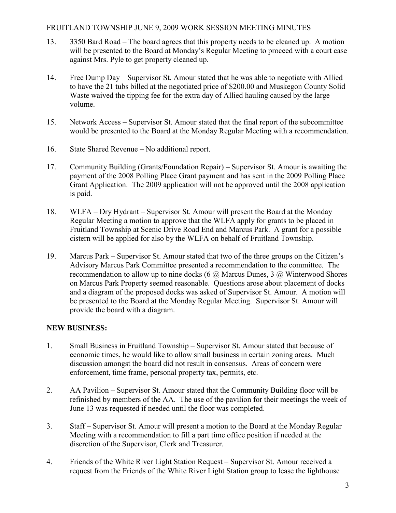## FRUITLAND TOWNSHIP JUNE 9, 2009 WORK SESSION MEETING MINUTES

- 13. 3350 Bard Road The board agrees that this property needs to be cleaned up. A motion will be presented to the Board at Monday's Regular Meeting to proceed with a court case against Mrs. Pyle to get property cleaned up.
- 14. Free Dump Day Supervisor St. Amour stated that he was able to negotiate with Allied to have the 21 tubs billed at the negotiated price of \$200.00 and Muskegon County Solid Waste waived the tipping fee for the extra day of Allied hauling caused by the large volume.
- 15. Network Access Supervisor St. Amour stated that the final report of the subcommittee would be presented to the Board at the Monday Regular Meeting with a recommendation.
- 16. State Shared Revenue No additional report.
- 17. Community Building (Grants/Foundation Repair) Supervisor St. Amour is awaiting the payment of the 2008 Polling Place Grant payment and has sent in the 2009 Polling Place Grant Application. The 2009 application will not be approved until the 2008 application is paid.
- 18. WLFA Dry Hydrant Supervisor St. Amour will present the Board at the Monday Regular Meeting a motion to approve that the WLFA apply for grants to be placed in Fruitland Township at Scenic Drive Road End and Marcus Park. A grant for a possible cistern will be applied for also by the WLFA on behalf of Fruitland Township.
- 19. Marcus Park Supervisor St. Amour stated that two of the three groups on the Citizen's Advisory Marcus Park Committee presented a recommendation to the committee. The recommendation to allow up to nine docks (6  $\omega$ ) Marcus Dunes, 3  $\omega$ ) Winterwood Shores on Marcus Park Property seemed reasonable. Questions arose about placement of docks and a diagram of the proposed docks was asked of Supervisor St. Amour. A motion will be presented to the Board at the Monday Regular Meeting. Supervisor St. Amour will provide the board with a diagram.

# NEW BUSINESS:

- 1. Small Business in Fruitland Township Supervisor St. Amour stated that because of economic times, he would like to allow small business in certain zoning areas. Much discussion amongst the board did not result in consensus. Areas of concern were enforcement, time frame, personal property tax, permits, etc.
- 2. AA Pavilion Supervisor St. Amour stated that the Community Building floor will be refinished by members of the AA. The use of the pavilion for their meetings the week of June 13 was requested if needed until the floor was completed.
- 3. Staff Supervisor St. Amour will present a motion to the Board at the Monday Regular Meeting with a recommendation to fill a part time office position if needed at the discretion of the Supervisor, Clerk and Treasurer.
- 4. Friends of the White River Light Station Request Supervisor St. Amour received a request from the Friends of the White River Light Station group to lease the lighthouse